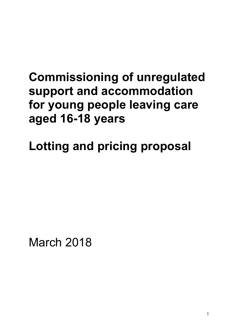# **Commissioning of unregulated support and accommodation for young people leaving care aged 16-18 years**

**Lotting and pricing proposal** 

March 2018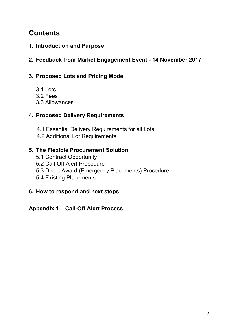## **Contents**

- **1. Introduction and Purpose**
- **2. Feedback from Market Engagement Event 14 November 2017**
- **3. Proposed Lots and Pricing Model** 
	- 3.1 Lots
	- 3.2 Fees
	- 3.3 Allowances

## **4. Proposed Delivery Requirements**

- 4.1 Essential Delivery Requirements for all Lots
- 4.2 Additional Lot Requirements

## **5. The Flexible Procurement Solution**

- 5.1 Contract Opportunity
- 5.2 Call-Off Alert Procedure
- 5.3 Direct Award (Emergency Placements) Procedure
- 5.4 Existing Placements

## **6. How to respond and next steps**

## **Appendix 1 – Call-Off Alert Process**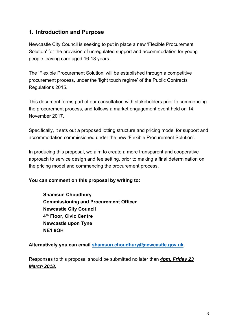## **1. Introduction and Purpose**

Newcastle City Council is seeking to put in place a new 'Flexible Procurement Solution' for the provision of unregulated support and accommodation for young people leaving care aged 16-18 years.

The 'Flexible Procurement Solution' will be established through a competitive procurement process, under the 'light touch regime' of the Public Contracts Regulations 2015.

This document forms part of our consultation with stakeholders prior to commencing the procurement process, and follows a market engagement event held on 14 November 2017.

Specifically, it sets out a proposed lotting structure and pricing model for support and accommodation commissioned under the new 'Flexible Procurement Solution'.

In producing this proposal, we aim to create a more transparent and cooperative approach to service design and fee setting, prior to making a final determination on the pricing model and commencing the procurement process.

#### **You can comment on this proposal by writing to:**

**Shamsun Choudhury Commissioning and Procurement Officer Newcastle City Council 4th Floor, Civic Centre Newcastle upon Tyne NE1 8QH** 

**Alternatively you can email shamsun.choudhury@newcastle.gov.uk.** 

Responses to this proposal should be submitted no later than *4pm, Friday 23 March 2018.*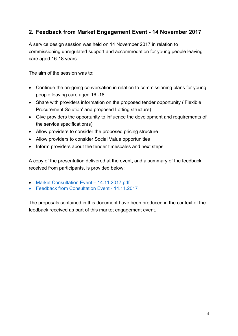## **2. Feedback from Market Engagement Event - 14 November 2017**

A service design session was held on 14 November 2017 in relation to commissioning unregulated support and accommodation for young people leaving care aged 16-18 years.

The aim of the session was to:

- Continue the on-going conversation in relation to commissioning plans for young people leaving care aged 16 -18
- Share with providers information on the proposed tender opportunity ('Flexible Procurement Solution' and proposed Lotting structure)
- Give providers the opportunity to influence the development and requirements of the service specification(s)
- Allow providers to consider the proposed pricing structure
- Allow providers to consider Social Value opportunities
- Inform providers about the tender timescales and next steps

A copy of the presentation delivered at the event, and a summary of the feedback received from participants, is provided below:

- Market Consultation Event 14.11.2017.pdf
- Feedback from Consultation Event 14.11.2017

The proposals contained in this document have been produced in the context of the feedback received as part of this market engagement event.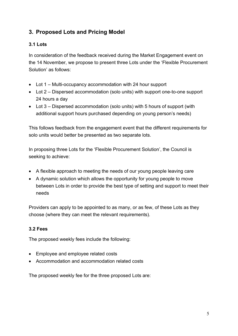## **3. Proposed Lots and Pricing Model**

#### **3.1 Lots**

In consideration of the feedback received during the Market Engagement event on the 14 November, we propose to present three Lots under the 'Flexible Procurement Solution' as follows:

- Lot 1 Multi-occupancy accommodation with 24 hour support
- Lot 2 Dispersed accommodation (solo units) with support one-to-one support 24 hours a day
- Lot 3 Dispersed accommodation (solo units) with 5 hours of support (with additional support hours purchased depending on young person's needs)

This follows feedback from the engagement event that the different requirements for solo units would better be presented as two separate lots.

In proposing three Lots for the 'Flexible Procurement Solution', the Council is seeking to achieve:

- A flexible approach to meeting the needs of our young people leaving care
- A dynamic solution which allows the opportunity for young people to move between Lots in order to provide the best type of setting and support to meet their needs

Providers can apply to be appointed to as many, or as few, of these Lots as they choose (where they can meet the relevant requirements).

#### **3.2 Fees**

The proposed weekly fees include the following:

- Employee and employee related costs
- Accommodation and accommodation related costs

The proposed weekly fee for the three proposed Lots are: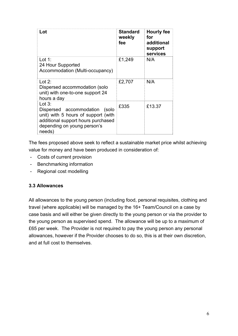| Lot                                                                                                                                                             | Standard<br>weekly<br>fee | Hourly fee<br>for<br>additional<br>support<br>services |
|-----------------------------------------------------------------------------------------------------------------------------------------------------------------|---------------------------|--------------------------------------------------------|
| Lot 1:<br>24 Hour Supported<br>Accommodation (Multi-occupancy)                                                                                                  | £1,249                    | N/A                                                    |
| Lot 2:<br>Dispersed accommodation (solo<br>unit) with one-to-one support 24<br>hours a day                                                                      | £2,707                    | N/A                                                    |
| Lot $3:$<br>Dispersed accommodation (solo<br>unit) with 5 hours of support (with<br>additional support hours purchased<br>depending on young person's<br>needs) | £335                      | £13.37                                                 |

The fees proposed above seek to reflect a sustainable market price whilst achieving value for money and have been produced in consideration of:

- Costs of current provision
- Benchmarking information
- Regional cost modelling

#### **3.3 Allowances**

All allowances to the young person (including food, personal requisites, clothing and travel (where applicable) will be managed by the 16+ Team/Council on a case by case basis and will either be given directly to the young person or via the provider to the young person as supervised spend. The allowance will be up to a maximum of £65 per week. The Provider is not required to pay the young person any personal allowances, however if the Provider chooses to do so, this is at their own discretion, and at full cost to themselves.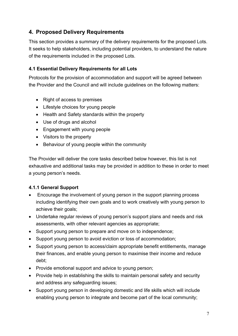## **4. Proposed Delivery Requirements**

This section provides a summary of the delivery requirements for the proposed Lots. It seeks to help stakeholders, including potential providers, to understand the nature of the requirements included in the proposed Lots.

#### **4.1 Essential Delivery Requirements for all Lots**

Protocols for the provision of accommodation and support will be agreed between the Provider and the Council and will include guidelines on the following matters:

- Right of access to premises
- Lifestyle choices for young people
- Health and Safety standards within the property
- Use of drugs and alcohol
- Engagement with young people
- Visitors to the property
- Behaviour of young people within the community

The Provider will deliver the core tasks described below however, this list is not exhaustive and additional tasks may be provided in addition to these in order to meet a young person's needs.

#### **4.1.1 General Support**

- Encourage the involvement of young person in the support planning process including identifying their own goals and to work creatively with young person to achieve their goals;
- Undertake regular reviews of young person's support plans and needs and risk assessments, with other relevant agencies as appropriate;
- Support young person to prepare and move on to independence;
- Support young person to avoid eviction or loss of accommodation;
- Support young person to access/claim appropriate benefit entitlements, manage their finances, and enable young person to maximise their income and reduce debt;
- Provide emotional support and advice to young person;
- Provide help in establishing the skills to maintain personal safety and security and address any safeguarding issues;
- Support young person in developing domestic and life skills which will include enabling young person to integrate and become part of the local community;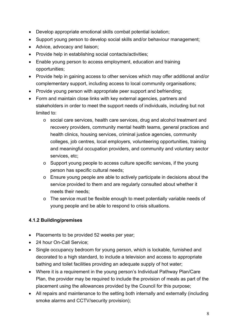- Develop appropriate emotional skills combat potential isolation;
- Support young person to develop social skills and/or behaviour management;
- Advice, advocacy and liaison;
- Provide help in establishing social contacts/activities;
- Enable young person to access employment, education and training opportunities;
- Provide help in gaining access to other services which may offer additional and/or complementary support, including access to local community organisations;
- Provide young person with appropriate peer support and befriending;
- Form and maintain close links with key external agencies, partners and stakeholders in order to meet the support needs of individuals, including but not limited to:
	- o social care services, health care services, drug and alcohol treatment and recovery providers, community mental health teams, general practices and health clinics, housing services, criminal justice agencies, community colleges, job centres, local employers, volunteering opportunities, training and meaningful occupation providers, and community and voluntary sector services, etc;
	- o Support young people to access culture specific services, if the young person has specific cultural needs;
	- o Ensure young people are able to actively participate in decisions about the service provided to them and are regularly consulted about whether it meets their needs;
	- o The service must be flexible enough to meet potentially variable needs of young people and be able to respond to crisis situations.

#### **4.1.2 Building/premises**

- Placements to be provided 52 weeks per year;
- 24 hour On-Call Service:
- Single occupancy bedroom for young person, which is lockable, furnished and decorated to a high standard, to include a television and access to appropriate bathing and toilet facilities providing an adequate supply of hot water;
- Where it is a requirement in the young person's Individual Pathway Plan/Care Plan, the provider may be required to include the provision of meals as part of the placement using the allowances provided by the Council for this purpose;
- All repairs and maintenance to the setting both internally and externally (including smoke alarms and CCTV/security provision);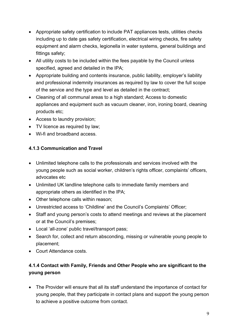- Appropriate safety certification to include PAT appliances tests, utilities checks including up to date gas safety certification, electrical wiring checks, fire safety equipment and alarm checks, legionella in water systems, general buildings and fittings safety;
- All utility costs to be included within the fees payable by the Council unless specified, agreed and detailed in the IPA;
- Appropriate building and contents insurance, public liability, employer's liability and professional indemnity insurances as required by law to cover the full scope of the service and the type and level as detailed in the contract;
- Cleaning of all communal areas to a high standard; Access to domestic appliances and equipment such as vacuum cleaner, iron, ironing board, cleaning products etc;
- Access to laundry provision;
- TV licence as required by law;
- Wi-fi and broadband access.

#### **4.1.3 Communication and Travel**

- Unlimited telephone calls to the professionals and services involved with the young people such as social worker, children's rights officer, complaints' officers, advocates etc
- Unlimited UK landline telephone calls to immediate family members and appropriate others as identified in the IPA;
- Other telephone calls within reason;
- Unrestricted access to 'Childline' and the Council's Complaints' Officer;
- Staff and young person's costs to attend meetings and reviews at the placement or at the Council's premises;
- Local 'all-zone' public travel/transport pass;
- Search for, collect and return absconding, missing or vulnerable young people to placement;
- Court Attendance costs.

## **4.1.4 Contact with Family, Friends and Other People who are significant to the young person**

 The Provider will ensure that all its staff understand the importance of contact for young people, that they participate in contact plans and support the young person to achieve a positive outcome from contact.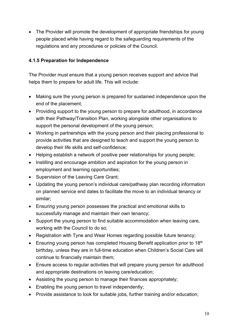The Provider will promote the development of appropriate friendships for young people placed while having regard to the safeguarding requirements of the regulations and any procedures or policies of the Council.

#### **4.1.5 Preparation for Independence**

The Provider must ensure that a young person receives support and advice that helps them to prepare for adult life. This will include:

- Making sure the young person is prepared for sustained independence upon the end of the placement;
- Providing support to the young person to prepare for adulthood, in accordance with their Pathway/Transition Plan, working alongside other organisations to support the personal development of the young person;
- Working in partnerships with the young person and their placing professional to provide activities that are designed to teach and support the young person to develop their life skills and self-confidence;
- Helping establish a network of positive peer relationships for young people;
- Instilling and encourage ambition and aspiration for the young person in employment and learning opportunities;
- Supervision of the Leaving Care Grant;
- Updating the young person's individual care/pathway plan recording information on planned service end dates to facilitate the move to an individual tenancy or similar;
- Ensuring young person possesses the practical and emotional skills to successfully manage and maintain their own tenancy;
- Support the young person to find suitable accommodation when leaving care, working with the Council to do so;
- Registration with Tyne and Wear Homes regarding possible future tenancy;
- **Ensuring young person has completed Housing Benefit application prior to 18th** birthday, unless they are in full-time education when Children's Social Care will continue to financially maintain them;
- Ensure access to regular activities that will prepare young person for adulthood and appropriate destinations on leaving care/education;
- Assisting the young person to manage their finances appropriately;
- Enabling the young person to travel independently;
- Provide assistance to look for suitable jobs, further training and/or education;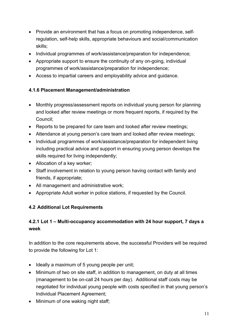- Provide an environment that has a focus on promoting independence, selfregulation, self-help skills, appropriate behaviours and social/communication skills;
- Individual programmes of work/assistance/preparation for independence;
- Appropriate support to ensure the continuity of any on-going, individual programmes of work/assistance/preparation for independence;
- Access to impartial careers and employability advice and guidance.

#### **4.1.6 Placement Management/administration**

- Monthly progress/assessment reports on individual young person for planning and looked after review meetings or more frequent reports, if required by the Council;
- Reports to be prepared for care team and looked after review meetings;
- Attendance at young person's care team and looked after review meetings;
- Individual programmes of work/assistance/preparation for independent living including practical advice and support in ensuring young person develops the skills required for living independently;
- Allocation of a key worker;
- Staff involvement in relation to young person having contact with family and friends, if appropriate;
- All management and administrative work;
- Appropriate Adult worker in police stations, if requested by the Council.

## **4.2 Additional Lot Requirements**

## **4.2.1 Lot 1 – Multi-occupancy accommodation with 24 hour support, 7 days a week**

In addition to the core requirements above, the successful Providers will be required to provide the following for Lot 1:

- Ideally a maximum of 5 young people per unit;
- Minimum of two on site staff, in addition to management, on duty at all times (management to be on-call 24 hours per day). Additional staff costs may be negotiated for individual young people with costs specified in that young person's Individual Placement Agreement;
- Minimum of one waking night staff: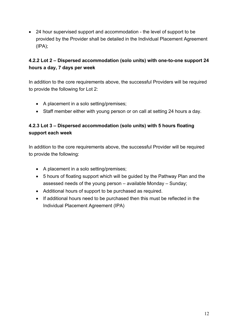24 hour supervised support and accommodation - the level of support to be provided by the Provider shall be detailed in the Individual Placement Agreement (IPA);

## **4.2.2 Lot 2 – Dispersed accommodation (solo units) with one-to-one support 24 hours a day, 7 days per week**

In addition to the core requirements above, the successful Providers will be required to provide the following for Lot 2:

- A placement in a solo setting/premises;
- Staff member either with young person or on call at setting 24 hours a day.

## **4.2.3 Lot 3 – Dispersed accommodation (solo units) with 5 hours floating support each week**

In addition to the core requirements above, the successful Provider will be required to provide the following:

- A placement in a solo setting/premises;
- 5 hours of floating support which will be guided by the Pathway Plan and the assessed needs of the young person – available Monday – Sunday;
- Additional hours of support to be purchased as required.
- If additional hours need to be purchased then this must be reflected in the Individual Placement Agreement (IPA)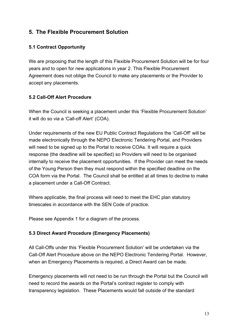## **5. The Flexible Procurement Solution**

#### **5.1 Contract Opportunity**

We are proposing that the length of this Flexible Procurement Solution will be for four years and to open for new applications in year 2. This Flexible Procurement Agreement does not oblige the Council to make any placements or the Provider to accept any placements.

#### **5.2 Call-Off Alert Procedure**

When the Council is seeking a placement under this 'Flexible Procurement Solution' it will do so via a 'Call-off Alert' (COA).

Under requirements of the new EU Public Contract Regulations the 'Call-Off' will be made electronically through the NEPO Electronic Tendering Portal, and Providers will need to be signed up to the Portal to receive COAs. It will require a quick response (the deadline will be specified) so Providers will need to be organised internally to receive the placement opportunities. If the Provider can meet the needs of the Young Person then they must respond within the specified deadline on the COA form via the Portal. The Council shall be entitled at all times to decline to make a placement under a Call-Off Contract.

Where applicable, the final process will need to meet the EHC plan statutory timescales in accordance with the SEN Code of practice.

Please see Appendix 1 for a diagram of the process.

#### **5.3 Direct Award Procedure (Emergency Placements)**

All Call-Offs under this 'Flexible Procurement Solution' will be undertaken via the Call-Off Alert Procedure above on the NEPO Electronic Tendering Portal. However, when an Emergency Placements is required, a Direct Award can be made.

Emergency placements will not need to be run through the Portal but the Council will need to record the awards on the Portal's contract register to comply with transparency legislation. These Placements would fall outside of the standard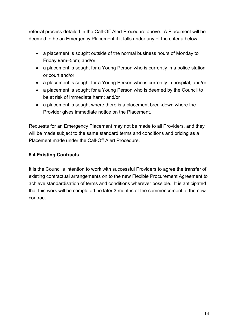referral process detailed in the Call-Off Alert Procedure above. A Placement will be deemed to be an Emergency Placement if it falls under any of the criteria below:

- a placement is sought outside of the normal business hours of Monday to Friday 9am–5pm; and/or
- a placement is sought for a Young Person who is currently in a police station or court and/or;
- a placement is sought for a Young Person who is currently in hospital; and/or
- a placement is sought for a Young Person who is deemed by the Council to be at risk of immediate harm; and/or
- a placement is sought where there is a placement breakdown where the Provider gives immediate notice on the Placement.

Requests for an Emergency Placement may not be made to all Providers, and they will be made subject to the same standard terms and conditions and pricing as a Placement made under the Call-Off Alert Procedure.

## **5.4 Existing Contracts**

It is the Council's intention to work with successful Providers to agree the transfer of existing contractual arrangements on to the new Flexible Procurement Agreement to achieve standardisation of terms and conditions wherever possible. It is anticipated that this work will be completed no later 3 months of the commencement of the new contract.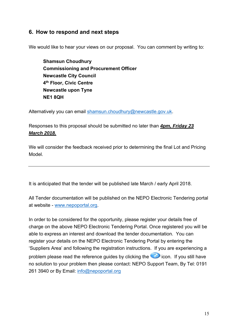## **6. How to respond and next steps**

We would like to hear your views on our proposal. You can comment by writing to:

**Shamsun Choudhury Commissioning and Procurement Officer Newcastle City Council 4th Floor, Civic Centre Newcastle upon Tyne NE1 8QH** 

Alternatively you can email shamsun.choudhury@newcastle.gov.uk.

Responses to this proposal should be submitted no later than *4pm, Friday 23 March 2018.* 

We will consider the feedback received prior to determining the final Lot and Pricing Model.

It is anticipated that the tender will be published late March / early April 2018.

All Tender documentation will be published on the NEPO Electronic Tendering portal at website - www.nepoportal.org.

In order to be considered for the opportunity, please register your details free of charge on the above NEPO Electronic Tendering Portal. Once registered you will be able to express an interest and download the tender documentation. You can register your details on the NEPO Electronic Tendering Portal by entering the 'Suppliers Area' and following the registration instructions. If you are experiencing a problem please read the reference guides by clicking the **interest in the interpoller of the interest** no solution to your problem then please contact: NEPO Support Team, By Tel: 0191 261 3940 or By Email: info@nepoportal.org